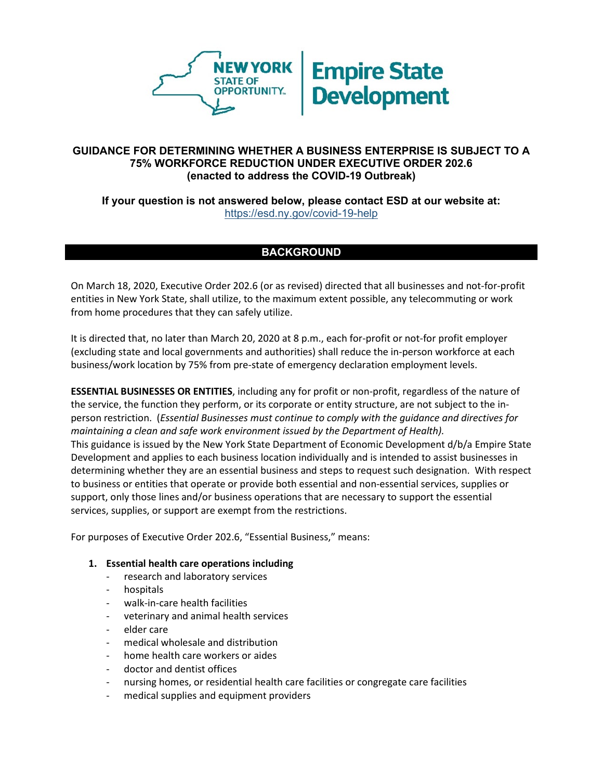

## **GUIDANCE FOR DETERMINING WHETHER A BUSINESS ENTERPRISE IS SUBJECT TO A 75% WORKFORCE REDUCTION UNDER EXECUTIVE ORDER 202.6 (enacted to address the COVID-19 Outbreak)**

## **If your question is not answered below, please contact ESD at our website at:**  <https://esd.ny.gov/covid-19-help>

# **BACKGROUND**

On March 18, 2020, Executive Order 202.6 (or as revised) directed that all businesses and not-for-profit entities in New York State, shall utilize, to the maximum extent possible, any telecommuting or work from home procedures that they can safely utilize.

It is directed that, no later than March 20, 2020 at 8 p.m., each for-profit or not-for profit employer (excluding state and local governments and authorities) shall reduce the in-person workforce at each business/work location by 75% from pre-state of emergency declaration employment levels.

**ESSENTIAL BUSINESSES OR ENTITIES**, including any for profit or non-profit, regardless of the nature of the service, the function they perform, or its corporate or entity structure, are not subject to the inperson restriction. (*Essential Businesses must continue to comply with the guidance and directives for maintaining a clean and safe work environment issued by the Department of Health).* This guidance is issued by the New York State Department of Economic Development d/b/a Empire State Development and applies to each business location individually and is intended to assist businesses in determining whether they are an essential business and steps to request such designation. With respect to business or entities that operate or provide both essential and non-essential services, supplies or support, only those lines and/or business operations that are necessary to support the essential services, supplies, or support are exempt from the restrictions.

For purposes of Executive Order 202.6, "Essential Business," means:

#### **1. Essential health care operations including**

- research and laboratory services
- hospitals
- walk-in-care health facilities
- veterinary and animal health services
- elder care
- medical wholesale and distribution
- home health care workers or aides
- doctor and dentist offices
- nursing homes, or residential health care facilities or congregate care facilities
- medical supplies and equipment providers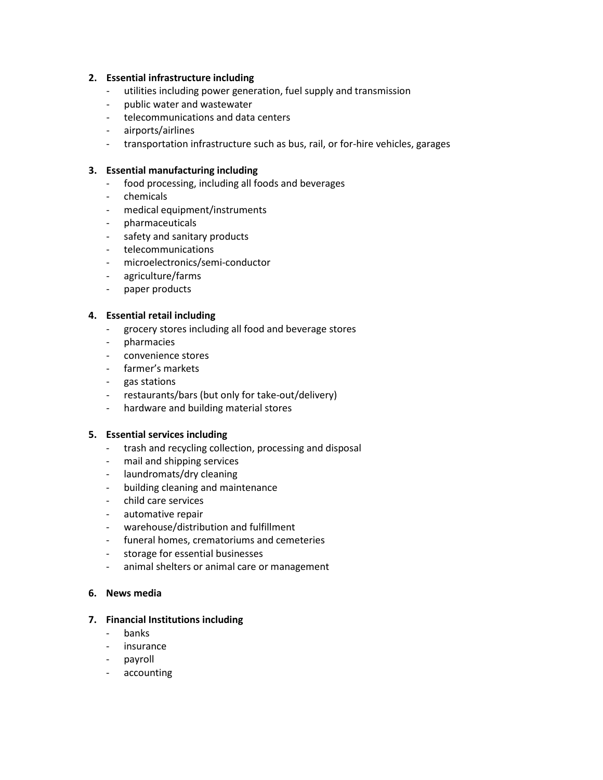#### **2. Essential infrastructure including**

- utilities including power generation, fuel supply and transmission
- public water and wastewater
- telecommunications and data centers
- airports/airlines
- transportation infrastructure such as bus, rail, or for-hire vehicles, garages

#### **3. Essential manufacturing including**

- food processing, including all foods and beverages
- chemicals
- medical equipment/instruments
- pharmaceuticals
- safety and sanitary products
- telecommunications
- microelectronics/semi-conductor
- agriculture/farms
- paper products

#### **4. Essential retail including**

- grocery stores including all food and beverage stores
- pharmacies
- convenience stores
- farmer's markets
- gas stations
- restaurants/bars (but only for take-out/delivery)
- hardware and building material stores

#### **5. Essential services including**

- trash and recycling collection, processing and disposal
- mail and shipping services
- laundromats/dry cleaning
- building cleaning and maintenance
- child care services
- automative repair
- warehouse/distribution and fulfillment
- funeral homes, crematoriums and cemeteries
- storage for essential businesses
- animal shelters or animal care or management

#### **6. News media**

#### **7. Financial Institutions including**

- banks
- insurance
- payroll
- accounting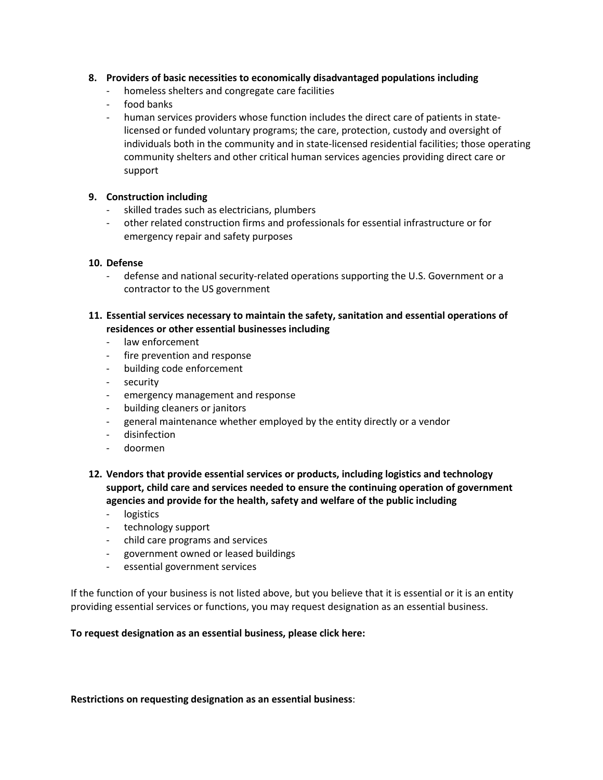### **8. Providers of basic necessities to economically disadvantaged populations including**

- homeless shelters and congregate care facilities
- food banks
- human services providers whose function includes the direct care of patients in statelicensed or funded voluntary programs; the care, protection, custody and oversight of individuals both in the community and in state-licensed residential facilities; those operating community shelters and other critical human services agencies providing direct care or support

### **9. Construction including**

- skilled trades such as electricians, plumbers
- other related construction firms and professionals for essential infrastructure or for emergency repair and safety purposes

#### **10. Defense**

- defense and national security-related operations supporting the U.S. Government or a contractor to the US government

## **11. Essential services necessary to maintain the safety, sanitation and essential operations of residences or other essential businesses including**

- law enforcement
- fire prevention and response
- building code enforcement
- security
- emergency management and response
- building cleaners or janitors
- general maintenance whether employed by the entity directly or a vendor
- disinfection
- doormen
- **12. Vendors that provide essential services or products, including logistics and technology support, child care and services needed to ensure the continuing operation of government agencies and provide for the health, safety and welfare of the public including**
	- logistics
	- technology support
	- child care programs and services
	- government owned or leased buildings
	- essential government services

If the function of your business is not listed above, but you believe that it is essential or it is an entity providing essential services or functions, you may request designation as an essential business.

#### **To request designation as an essential business, please click here:**

**Restrictions on requesting designation as an essential business**: